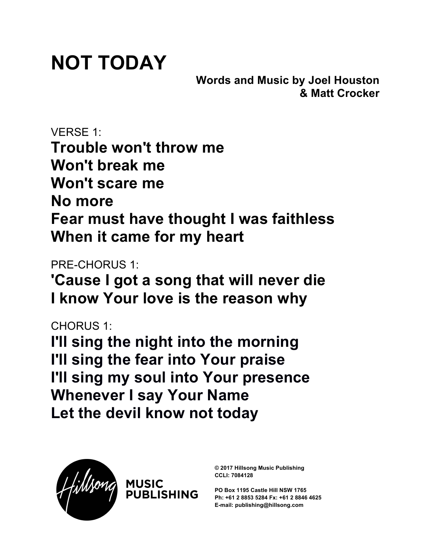## **NOT TODAY**

**Words and Music by Joel Houston & Matt Crocker**

VERSE 1: **Trouble won't throw me Won't break me Won't scare me No more Fear must have thought I was faithless When it came for my heart**

PRE-CHORUS 1:

**'Cause I got a song that will never die I know Your love is the reason why**

## CHORUS 1:

**I'll sing the night into the morning I'll sing the fear into Your praise I'll sing my soul into Your presence Whenever I say Your Name Let the devil know not today**



**© 2017 Hillsong Music Publishing CCLI: 7084128**

**PO Box 1195 Castle Hill NSW 1765 Ph: +61 2 8853 5284 Fx: +61 2 8846 4625 E-mail: publishing@hillsong.com**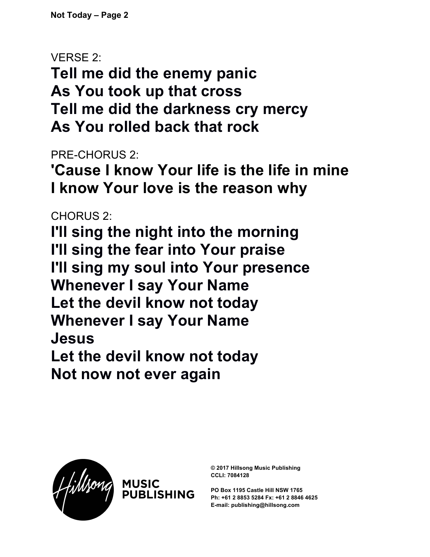VERSE 2:

**Tell me did the enemy panic As You took up that cross Tell me did the darkness cry mercy As You rolled back that rock**

PRE-CHORUS 2:

**'Cause I know Your life is the life in mine I know Your love is the reason why**

CHORUS 2:

**I'll sing the night into the morning I'll sing the fear into Your praise I'll sing my soul into Your presence Whenever I say Your Name Let the devil know not today Whenever I say Your Name Jesus Let the devil know not today Not now not ever again**



**MUSIC** 

**© 2017 Hillsong Music Publishing CCLI: 7084128**

**PO Box 1195 Castle Hill NSW 1765 Ph: +61 2 8853 5284 Fx: +61 2 8846 4625 E-mail: publishing@hillsong.com**